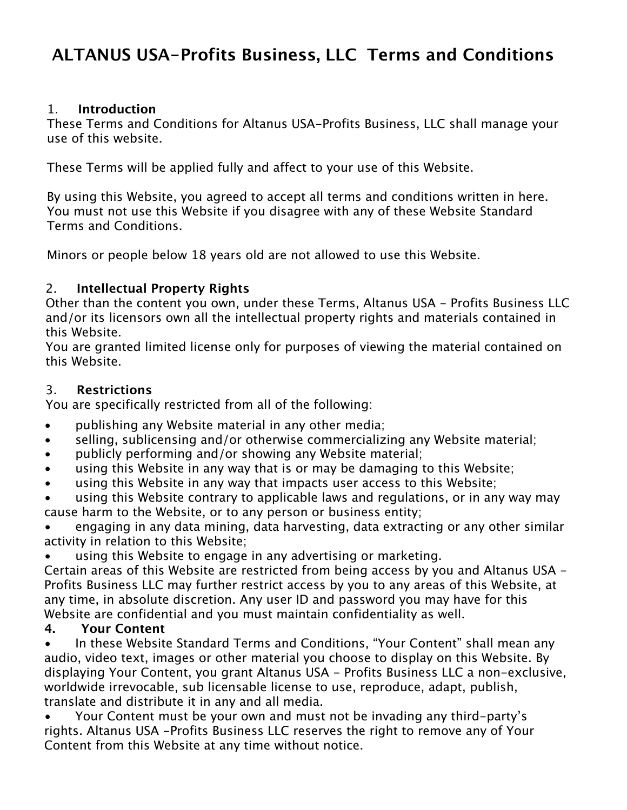# **ALTANUS USA-Profits Business, LLC Terms and Conditions**

### 1. **Introduction**

These Terms and Conditions for Altanus USA-Profits Business, LLC shall manage your use of this website.

These Terms will be applied fully and affect to your use of this Website.

By using this Website, you agreed to accept all terms and conditions written in here. You must not use this Website if you disagree with any of these Website Standard Terms and Conditions.

Minors or people below 18 years old are not allowed to use this Website.

# 2. **Intellectual Property Rights**

Other than the content you own, under these Terms, Altanus USA - Profits Business LLC and/or its licensors own all the intellectual property rights and materials contained in this Website.

You are granted limited license only for purposes of viewing the material contained on this Website.

#### 3. **Restrictions**

You are specifically restricted from all of the following:

- publishing any Website material in any other media;
- selling, sublicensing and/or otherwise commercializing any Website material;
- publicly performing and/or showing any Website material;
- using this Website in any way that is or may be damaging to this Website;
- using this Website in any way that impacts user access to this Website;

using this Website contrary to applicable laws and regulations, or in any way may cause harm to the Website, or to any person or business entity;

• engaging in any data mining, data harvesting, data extracting or any other similar activity in relation to this Website;

using this Website to engage in any advertising or marketing.

Certain areas of this Website are restricted from being access by you and Altanus USA - Profits Business LLC may further restrict access by you to any areas of this Website, at any time, in absolute discretion. Any user ID and password you may have for this Website are confidential and you must maintain confidentiality as well.

# **4. Your Content**

• In these Website Standard Terms and Conditions, "Your Content" shall mean any audio, video text, images or other material you choose to display on this Website. By displaying Your Content, you grant Altanus USA - Profits Business LLC a non-exclusive, worldwide irrevocable, sub licensable license to use, reproduce, adapt, publish, translate and distribute it in any and all media.

• Your Content must be your own and must not be invading any third-party's rights. Altanus USA -Profits Business LLC reserves the right to remove any of Your Content from this Website at any time without notice.